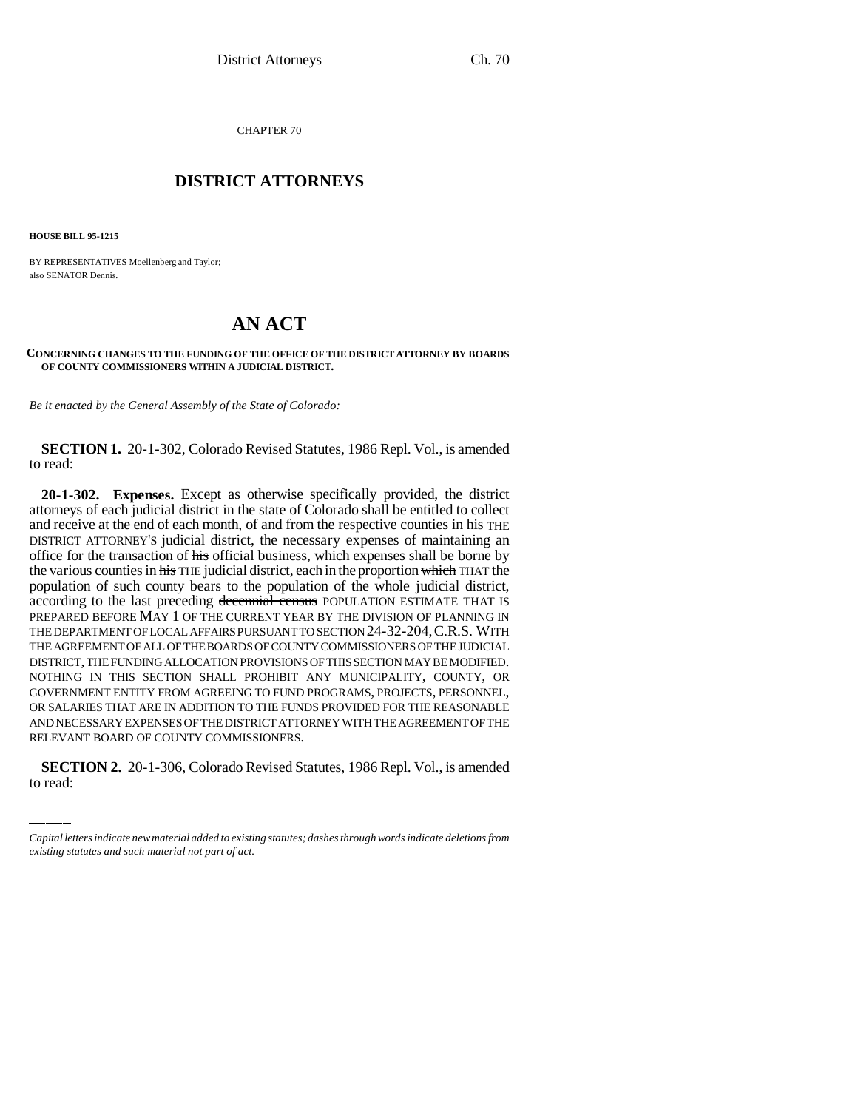CHAPTER 70

## \_\_\_\_\_\_\_\_\_\_\_\_\_\_\_ **DISTRICT ATTORNEYS** \_\_\_\_\_\_\_\_\_\_\_\_\_\_\_

**HOUSE BILL 95-1215**

BY REPRESENTATIVES Moellenberg and Taylor; also SENATOR Dennis.

## **AN ACT**

## **CONCERNING CHANGES TO THE FUNDING OF THE OFFICE OF THE DISTRICT ATTORNEY BY BOARDS OF COUNTY COMMISSIONERS WITHIN A JUDICIAL DISTRICT.**

*Be it enacted by the General Assembly of the State of Colorado:*

**SECTION 1.** 20-1-302, Colorado Revised Statutes, 1986 Repl. Vol., is amended to read:

AND NECESSARY EXPENSES OF THE DISTRICT ATTORNEY WITH THE AGREEMENT OF THE **20-1-302. Expenses.** Except as otherwise specifically provided, the district attorneys of each judicial district in the state of Colorado shall be entitled to collect and receive at the end of each month, of and from the respective counties in his THE DISTRICT ATTORNEY'S judicial district, the necessary expenses of maintaining an office for the transaction of his official business, which expenses shall be borne by the various counties in his THE judicial district, each in the proportion which THAT the population of such county bears to the population of the whole judicial district, according to the last preceding decennial census POPULATION ESTIMATE THAT IS PREPARED BEFORE MAY 1 OF THE CURRENT YEAR BY THE DIVISION OF PLANNING IN THE DEPARTMENT OF LOCAL AFFAIRS PURSUANT TO SECTION 24-32-204,C.R.S. WITH THE AGREEMENT OF ALL OF THE BOARDS OF COUNTY COMMISSIONERS OF THE JUDICIAL DISTRICT, THE FUNDING ALLOCATION PROVISIONS OF THIS SECTION MAY BE MODIFIED. NOTHING IN THIS SECTION SHALL PROHIBIT ANY MUNICIPALITY, COUNTY, OR GOVERNMENT ENTITY FROM AGREEING TO FUND PROGRAMS, PROJECTS, PERSONNEL, OR SALARIES THAT ARE IN ADDITION TO THE FUNDS PROVIDED FOR THE REASONABLE RELEVANT BOARD OF COUNTY COMMISSIONERS.

**SECTION 2.** 20-1-306, Colorado Revised Statutes, 1986 Repl. Vol., is amended to read:

*Capital letters indicate new material added to existing statutes; dashes through words indicate deletions from existing statutes and such material not part of act.*